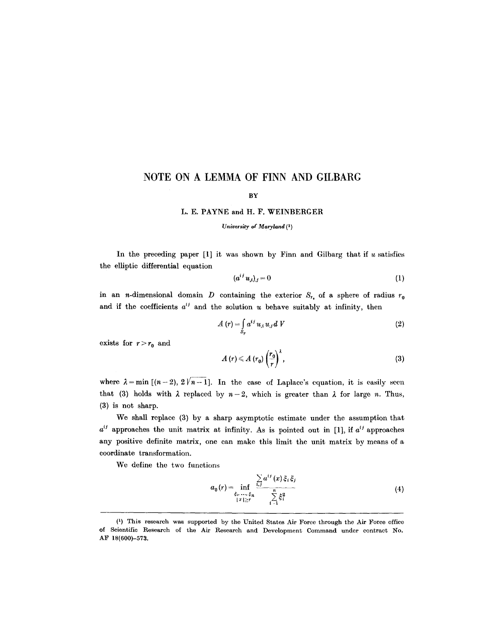# **NOTE ON A LEMMA OF FINN AND GILBARG**

## **BY**

### **L. E. PAYNE and H. F. WEINBERGER**

#### *University of Maryland (1)*

In the preceding paper  $[1]$  it was shown by Finn and Gilbarg that if  $u$  satisfies the elliptic differential equation

$$
(a^{i j} u_{,i})_{,j} = 0 \tag{1}
$$

in an *n*-dimensional domain *D* containing the exterior  $S_{r_n}$  of a sphere of radius  $r_0$ and if the coefficients  $a^{ij}$  and the solution u behave suitably at infinity, then

$$
A(r) = \int_{S_r} a^{ij} u_{,i} u_{,j} dV
$$
 (2)

exists for  $r > r_0$  and

$$
A\left(r\right)\leqslant A\left(r_{0}\right)\left(\frac{r_{0}}{r}\right)^{\lambda},\tag{3}
$$

where  $\lambda = \min\left[ (n-2), 2 \nmid n-1 \right]$ . In the case of Laplace's equation, it is easily seen that (3) holds with  $\lambda$  replaced by  $n-2$ , which is greater than  $\lambda$  for large n. Thus, (3) is not sharp.

We shall replace (3) by a sharp asymptotic estimate under the assumption that  $a^{ij}$  approaches the unit matrix at infinity. As is pointed out in [1], if  $a^{ij}$  approaches any positive definite matrix, one can make this limit the unit matrix by means of a coordinate transformation.

We define the two functions

$$
a_0(r) = \inf_{\substack{\xi_1, \dots, \xi_n \\ \|x\| \ge r}} \frac{\sum_{i,j} a^{ij}(x) \xi_i \xi_j}{\sum_{i=1}^n \xi_i^2}
$$
(4)

<sup>(1)</sup> This research was supported by the United States Air Force through the Air Force office of Scientific Research of the Air Research and Development Command under contract **No.**  AF 18(600)-573.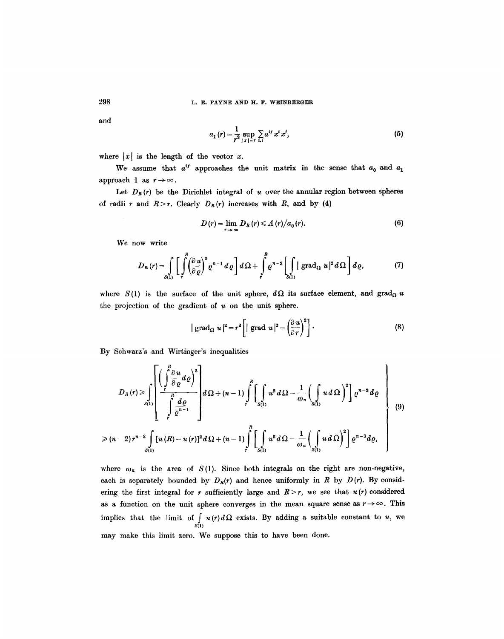and

$$
a_1(r) = \frac{1}{r^2} \sup_{|x|=r} \sum_{i,j} a^{ij} x^i x^j,
$$
 (5)

where  $|x|$  is the length of the vector x.

We assume that  $a^{ij}$  approaches the unit matrix in the sense that  $a_0$  and  $a_1$ approach 1 as  $r \rightarrow \infty$ .

Let  $D_R(r)$  be the Dirichlet integral of u over the annular region between spheres of radii r and  $R > r$ . Clearly  $D_R(r)$  increases with R, and by (4)

$$
D(r) = \lim_{r \to \infty} D_R(r) \leq A(r)/a_0(r). \tag{6}
$$

We now write

$$
D_R(r) = \int\limits_{S(1)} \left[ \int\limits_r^R \left( \frac{\partial u}{\partial \varrho} \right)^2 e^{n-1} d\varrho \right] d\Omega + \int\limits_r^R e^{n-3} \left[ \int\limits_{S(1)} |\operatorname{grad}_{\Omega} u|^2 d\Omega \right] d\varrho, \tag{7}
$$

where  $S(1)$  is the surface of the unit sphere,  $d\Omega$  its surface element, and grad<sub> $\Omega$ </sub> u the projection of the gradient of  $u$  on the unit sphere.

$$
|\operatorname{grad}_{\Omega} u|^2 = r^2 \left[|\operatorname{grad} u|^2 - \left(\frac{\partial u}{\partial r}\right)^2\right].
$$
 (8)

By Schwarz's and Wirtinger's inequalities

$$
D_R(r) \geq \int_{S(1)} \left[ \frac{\left(\int_{\tilde{r}}^R \frac{\partial u}{\partial \varrho} d\varrho\right)^2}{\int_{\tilde{r}}^R \frac{d\varrho}{\varrho^{n-1}}} \right] d\Omega + (n-1) \int_{\tilde{r}}^R \left[ \int_{S(1)} u^2 d\Omega - \frac{1}{\omega_n} \left( \int_{S(1)} u d\Omega \right)^2 \right] \varrho^{n-3} d\varrho
$$
\n(9)

$$
\geqslant (n-2) r^{n-2} \int\limits_{S(1)} \left[ u(R) - u(r) \right]^2 d\Omega + (n-1) \int\limits_{r}^{n} \left[ \int\limits_{S(1)} u^2 d\Omega - \frac{1}{\omega_n} \left( \int\limits_{S(1)} u d\Omega \right)^2 \right] \varrho^{n-3} d\varrho, \quad \Bigg|
$$

where  $\omega_n$  is the area of  $S(1)$ . Since both integrals on the right are non-negative, each is separately bounded by  $D_R(r)$  and hence uniformly in R by  $D(r)$ . By considering the first integral for r sufficiently large and  $R > r$ , we see that  $u(r)$  considered as a function on the unit sphere converges in the mean square sense as  $r \rightarrow \infty$ . This implies that the limit of  $\int u(r) d\Omega$  exists. By adding a suitable constant to u, we 8(1) may make this limit zero. We suppose this to have been done.